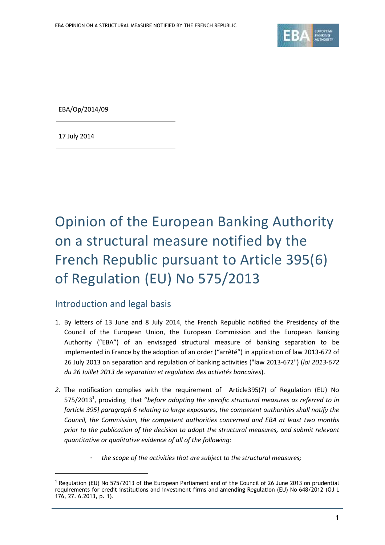

EBA/Op/2014/09

17 July 2014

<u>.</u>

## Opinion of the European Banking Authority on a structural measure notified by the French Republic pursuant to Article 395(6) of Regulation (EU) No 575/2013

## Introduction and legal basis

- 1. By letters of 13 June and 8 July 2014, the French Republic notified the Presidency of the Council of the European Union, the European Commission and the European Banking Authority ("EBA") of an envisaged structural measure of banking separation to be implemented in France by the adoption of an order ("arrêté") in application of law 2013-672 of 26 July 2013 on separation and regulation of banking activities ("law 2013-672") (*loi 2013-672 du 26 Juillet 2013 de separation et regulation des activités bancaires*).
- *2.* The notification complies with the requirement of Article395(7) of Regulation (EU) No 575/2013<sup>1</sup> , providing that "*before adopting the specific structural measures as referred to in [article 395] paragraph 6 relating to large exposures, the competent authorities shall notify the Council, the Commission, the competent authorities concerned and EBA at least two months prior to the publication of the decision to adopt the structural measures, and submit relevant quantitative or qualitative evidence of all of the following:*
	- *- the scope of the activities that are subject to the structural measures;*

<sup>&</sup>lt;sup>1</sup> Regulation (EU) No 575/2013 of the European Parliament and of the Council of 26 June 2013 on prudential requirements for credit institutions and investment firms and amending Regulation (EU) No 648/2012 (OJ L 176, 27. 6.2013, p. 1).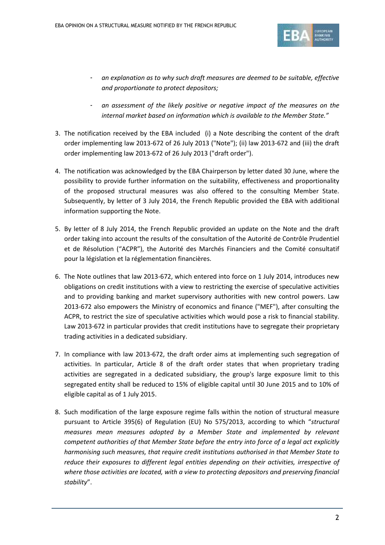

- *- an explanation as to why such draft measures are deemed to be suitable, effective and proportionate to protect depositors;*
- *- an assessment of the likely positive or negative impact of the measures on the internal market based on information which is available to the Member State."*
- 3. The notification received by the EBA included (i) a Note describing the content of the draft order implementing law 2013-672 of 26 July 2013 ("Note"); (ii) law 2013-672 and (iii) the draft order implementing law 2013-672 of 26 July 2013 ("draft order").
- 4. The notification was acknowledged by the EBA Chairperson by letter dated 30 June, where the possibility to provide further information on the suitability, effectiveness and proportionality of the proposed structural measures was also offered to the consulting Member State. Subsequently, by letter of 3 July 2014, the French Republic provided the EBA with additional information supporting the Note.
- 5. By letter of 8 July 2014, the French Republic provided an update on the Note and the draft order taking into account the results of the consultation of the Autorité de Contrôle Prudentiel et de Résolution ("ACPR"), the Autorité des Marchés Financiers and the Comité consultatif pour la législation et la réglementation financières.
- 6. The Note outlines that law 2013-672, which entered into force on 1 July 2014, introduces new obligations on credit institutions with a view to restricting the exercise of speculative activities and to providing banking and market supervisory authorities with new control powers. Law 2013-672 also empowers the Ministry of economics and finance ("MEF"), after consulting the ACPR, to restrict the size of speculative activities which would pose a risk to financial stability. Law 2013-672 in particular provides that credit institutions have to segregate their proprietary trading activities in a dedicated subsidiary.
- 7. In compliance with law 2013-672, the draft order aims at implementing such segregation of activities. In particular, Article 8 of the draft order states that when proprietary trading activities are segregated in a dedicated subsidiary, the group's large exposure limit to this segregated entity shall be reduced to 15% of eligible capital until 30 June 2015 and to 10% of eligible capital as of 1 July 2015.
- 8. Such modification of the large exposure regime falls within the notion of structural measure pursuant to Article 395(6) of Regulation (EU) No 575/2013, according to which "*structural measures mean measures adopted by a Member State and implemented by relevant competent authorities of that Member State before the entry into force of a legal act explicitly harmonising such measures, that require credit institutions authorised in that Member State to reduce their exposures to different legal entities depending on their activities, irrespective of where those activities are located, with a view to protecting depositors and preserving financial stability*".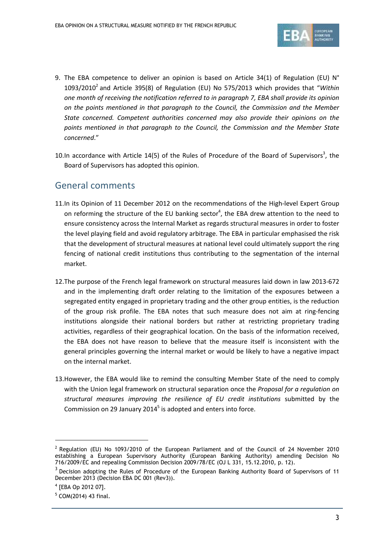

- 9. The EBA competence to deliver an opinion is based on Article 34(1) of Regulation (EU)  $N^{\circ}$ 1093/2010<sup>2</sup> and Article 395(8) of Regulation (EU) No 575/2013 which provides that "Within *one month of receiving the notification referred to in paragraph 7, EBA shall provide its opinion on the points mentioned in that paragraph to the Council, the Commission and the Member State concerned. Competent authorities concerned may also provide their opinions on the points mentioned in that paragraph to the Council, the Commission and the Member State concerned*."
- 10. In accordance with Article 14(5) of the Rules of Procedure of the Board of Supervisors<sup>3</sup>, the Board of Supervisors has adopted this opinion.

## General comments

- 11.In its Opinion of 11 December 2012 on the recommendations of the High-level Expert Group on reforming the structure of the EU banking sector<sup>4</sup>, the EBA drew attention to the need to ensure consistency across the Internal Market as regards structural measures in order to foster the level playing field and avoid regulatory arbitrage. The EBA in particular emphasised the risk that the development of structural measures at national level could ultimately support the ring fencing of national credit institutions thus contributing to the segmentation of the internal market.
- 12.The purpose of the French legal framework on structural measures laid down in law 2013-672 and in the implementing draft order relating to the limitation of the exposures between a segregated entity engaged in proprietary trading and the other group entities, is the reduction of the group risk profile. The EBA notes that such measure does not aim at ring-fencing institutions alongside their national borders but rather at restricting proprietary trading activities, regardless of their geographical location. On the basis of the information received, the EBA does not have reason to believe that the measure itself is inconsistent with the general principles governing the internal market or would be likely to have a negative impact on the internal market.
- 13.However, the EBA would like to remind the consulting Member State of the need to comply with the Union legal framework on structural separation once the *Proposal for a regulation on structural measures improving the resilience of EU credit institutions* submitted by the Commission on 29 January 2014 $<sup>5</sup>$  is adopted and enters into force.</sup>

<u>.</u>

<sup>&</sup>lt;sup>2</sup> Regulation (EU) No 1093/2010 of the European Parliament and of the Council of 24 November 2010 establishing a European Supervisory Authority (European Banking Authority) amending Decision No 716/2009/EC and repealing Commission Decision 2009/78/EC (OJ L 331, 15.12.2010, p. 12).

 $3$  Decision adopting the Rules of Procedure of the European Banking Authority Board of Supervisors of 11 December 2013 (Decision EBA DC 001 (Rev3)).

<sup>4</sup> [EBA Op 2012 07].

 $5$  COM(2014) 43 final.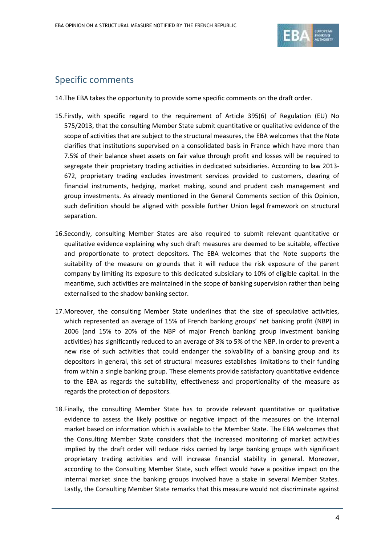

## Specific comments

14.The EBA takes the opportunity to provide some specific comments on the draft order.

- 15.Firstly, with specific regard to the requirement of Article 395(6) of Regulation (EU) No 575/2013, that the consulting Member State submit quantitative or qualitative evidence of the scope of activities that are subject to the structural measures, the EBA welcomes that the Note clarifies that institutions supervised on a consolidated basis in France which have more than 7.5% of their balance sheet assets on fair value through profit and losses will be required to segregate their proprietary trading activities in dedicated subsidiaries. According to law 2013- 672, proprietary trading excludes investment services provided to customers, clearing of financial instruments, hedging, market making, sound and prudent cash management and group investments. As already mentioned in the General Comments section of this Opinion, such definition should be aligned with possible further Union legal framework on structural separation.
- 16.Secondly, consulting Member States are also required to submit relevant quantitative or qualitative evidence explaining why such draft measures are deemed to be suitable, effective and proportionate to protect depositors. The EBA welcomes that the Note supports the suitability of the measure on grounds that it will reduce the risk exposure of the parent company by limiting its exposure to this dedicated subsidiary to 10% of eligible capital. In the meantime, such activities are maintained in the scope of banking supervision rather than being externalised to the shadow banking sector.
- 17.Moreover, the consulting Member State underlines that the size of speculative activities, which represented an average of 15% of French banking groups' net banking profit (NBP) in 2006 (and 15% to 20% of the NBP of major French banking group investment banking activities) has significantly reduced to an average of 3% to 5% of the NBP. In order to prevent a new rise of such activities that could endanger the solvability of a banking group and its depositors in general, this set of structural measures establishes limitations to their funding from within a single banking group. These elements provide satisfactory quantitative evidence to the EBA as regards the suitability, effectiveness and proportionality of the measure as regards the protection of depositors.
- 18.Finally, the consulting Member State has to provide relevant quantitative or qualitative evidence to assess the likely positive or negative impact of the measures on the internal market based on information which is available to the Member State. The EBA welcomes that the Consulting Member State considers that the increased monitoring of market activities implied by the draft order will reduce risks carried by large banking groups with significant proprietary trading activities and will increase financial stability in general. Moreover, according to the Consulting Member State, such effect would have a positive impact on the internal market since the banking groups involved have a stake in several Member States. Lastly, the Consulting Member State remarks that this measure would not discriminate against